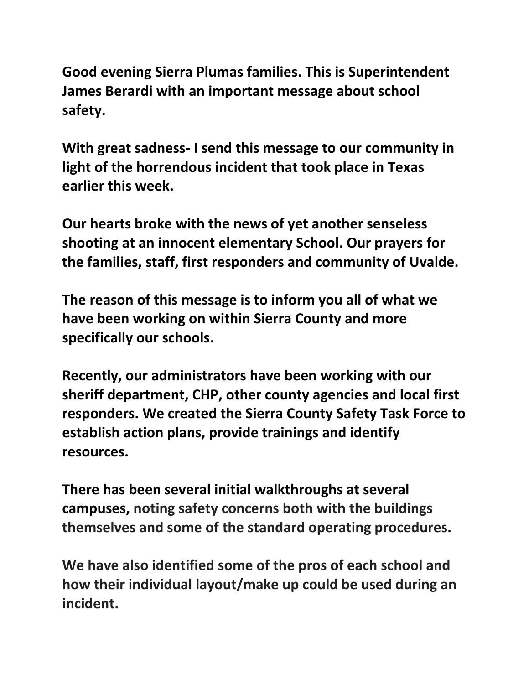**Good evening Sierra Plumas families. This is Superintendent James Berardi with an important message about school safety.** 

**With great sadness- I send this message to our community in light of the horrendous incident that took place in Texas earlier this week.** 

**Our hearts broke with the news of yet another senseless shooting at an innocent elementary School. Our prayers for the families, staff, first responders and community of Uvalde.**

**The reason of this message is to inform you all of what we have been working on within Sierra County and more specifically our schools.** 

**Recently, our administrators have been working with our sheriff department, CHP, other county agencies and local first responders. We created the Sierra County Safety Task Force to establish action plans, provide trainings and identify resources.**

**There has been several initial walkthroughs at several campuses, noting safety concerns both with the buildings themselves and some of the standard operating procedures.** 

**We have also identified some of the pros of each school and how their individual layout/make up could be used during an incident.**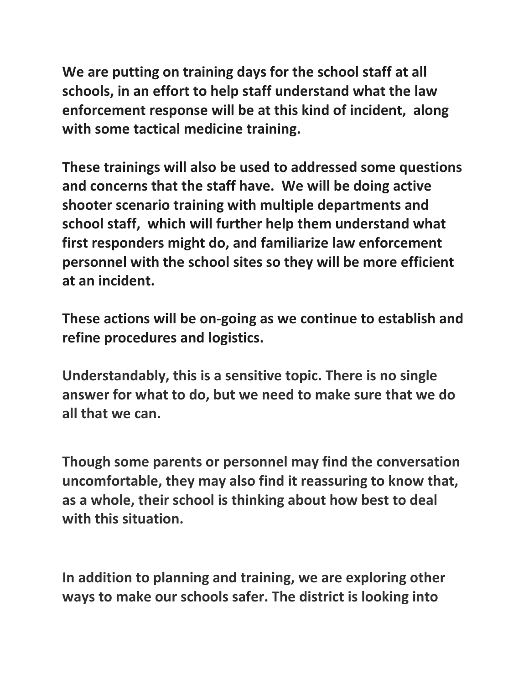**We are putting on training days for the school staff at all schools, in an effort to help staff understand what the law enforcement response will be at this kind of incident, along with some tactical medicine training.** 

**These trainings will also be used to addressed some questions and concerns that the staff have. We will be doing active shooter scenario training with multiple departments and school staff, which will further help them understand what first responders might do, and familiarize law enforcement personnel with the school sites so they will be more efficient at an incident.** 

**These actions will be on-going as we continue to establish and refine procedures and logistics.** 

**Understandably, this is a sensitive topic. There is no single answer for what to do, but we need to make sure that we do all that we can.**

**Though some parents or personnel may find the conversation uncomfortable, they may also find it reassuring to know that, as a whole, their school is thinking about how best to deal with this situation.**

**In addition to planning and training, we are exploring other ways to make our schools safer. The district is looking into**